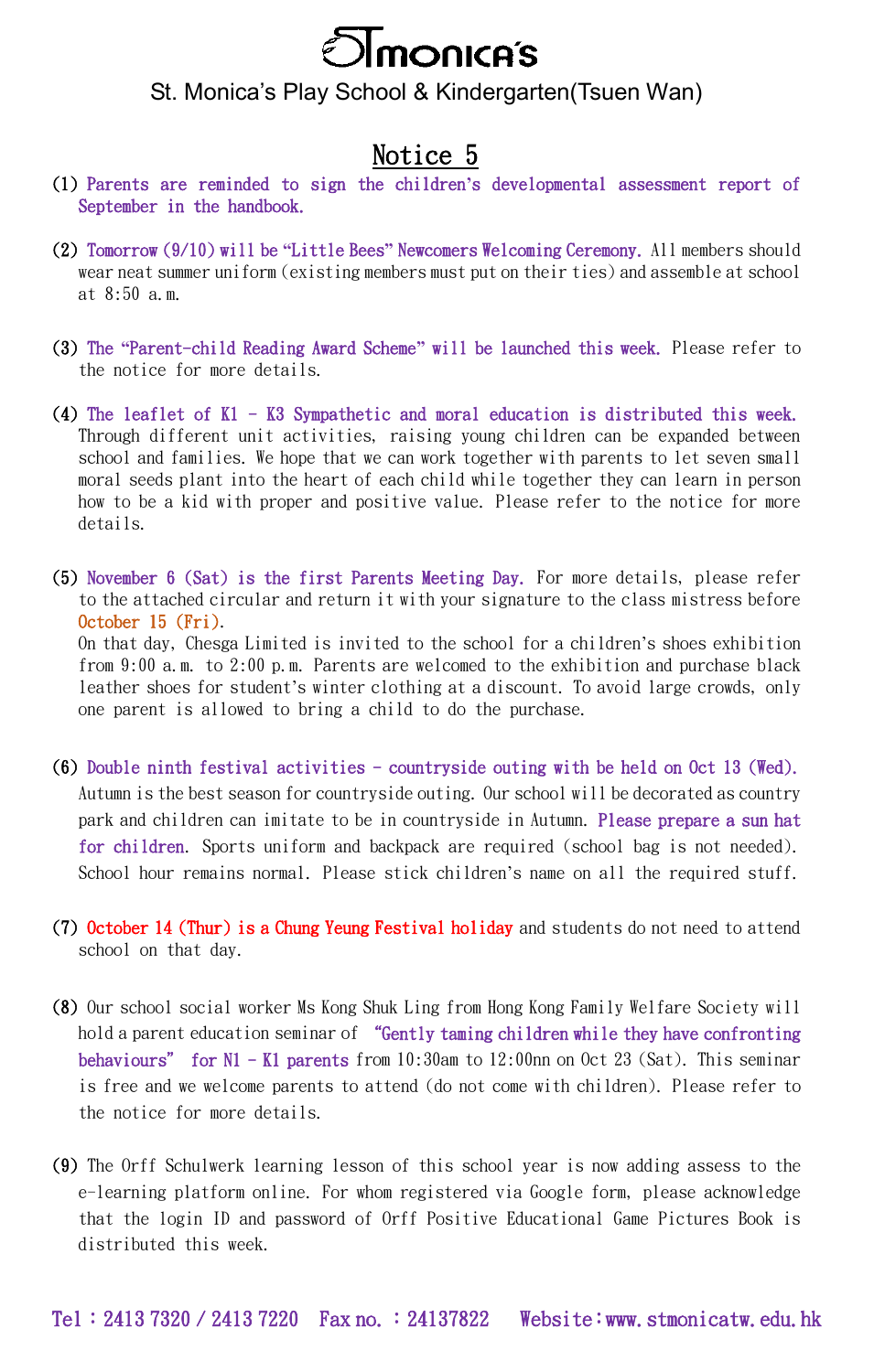

St. Monica's Play School & Kindergarten(Tsuen Wan)

## Notice 5

- (1) Parents are reminded to sign the children**'**s developmental assessment report of September in the handbook.
- (2) Tomorrow (9/10) will be **"**Little Bees**"** Newcomers Welcoming Ceremony. All members should wear neat summer uniform (existing members must put on their ties) and assemble at school at 8:50 a.m.
- (3) The **"**Parent-child Reading Award Scheme**"** will be launched this week. Please refer to the notice for more details.
- (4) The leaflet of K1 K3 Sympathetic and moral education is distributed this week. Through different unit activities, raising young children can be expanded between school and families. We hope that we can work together with parents to let seven small moral seeds plant into the heart of each child while together they can learn in person how to be a kid with proper and positive value. Please refer to the notice for more details.
- (5) November 6 (Sat) is the first Parents Meeting Day. For more details, please refer to the attached circular and return it with your signature to the class mistress before October 15 (Fri).

On that day, Chesga Limited is invited to the school for a children's shoes exhibition from 9:00 a.m. to 2:00 p.m. Parents are welcomed to the exhibition and purchase black leather shoes for student's winter clothing at a discount. To avoid large crowds, only one parent is allowed to bring a child to do the purchase.

- (6) Double ninth festival activities countryside outing with be held on Oct 13 (Wed). Autumn is the best season for countryside outing. Our school will be decorated as country park and children can imitate to be in countryside in Autumn. Please prepare a sun hat for children. Sports uniform and backpack are required (school bag is not needed). School hour remains normal. Please stick children's name on all the required stuff.
- (7) October 14 (Thur) is a Chung Yeung Festival holiday and students do not need to attend school on that day.
- (8) Our school social worker Ms Kong Shuk Ling from Hong Kong Family Welfare Society will hold a parent education seminar of "Gently taming children while they have confronting behaviours" for N1 - K1 parents from 10:30am to 12:00nn on Oct 23 (Sat). This seminar is free and we welcome parents to attend (do not come with children). Please refer to the notice for more details.
- (9) The Orff Schulwerk learning lesson of this school year is now adding assess to the e-learning platform online. For whom registered via Google form, please acknowledge that the login ID and password of Orff Positive Educational Game Pictures Book is distributed this week.